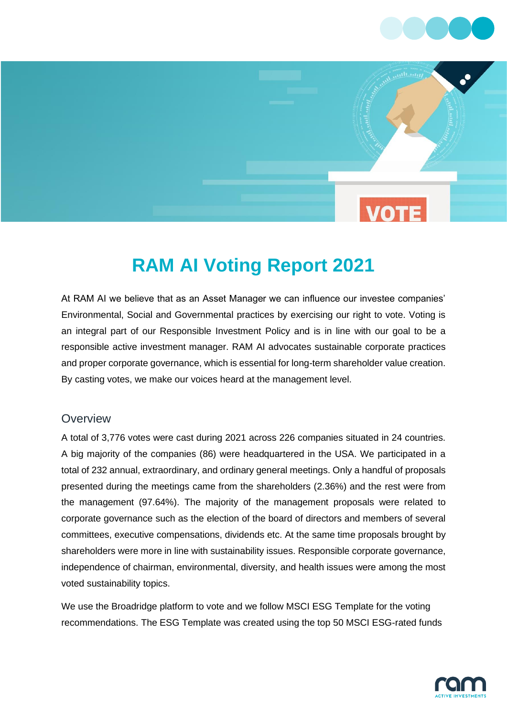

# **RAM AI Voting Report 2021**

At RAM AI we believe that as an Asset Manager we can influence our investee companies' Environmental, Social and Governmental practices by exercising our right to vote. Voting is an integral part of our Responsible Investment Policy and is in line with our goal to be a responsible active investment manager. RAM AI advocates sustainable corporate practices and proper corporate governance, which is essential for long-term shareholder value creation. By casting votes, we make our voices heard at the management level.

#### **Overview**

A total of 3,776 votes were cast during 2021 across 226 companies situated in 24 countries. A big majority of the companies (86) were headquartered in the USA. We participated in a total of 232 annual, extraordinary, and ordinary general meetings. Only a handful of proposals presented during the meetings came from the shareholders (2.36%) and the rest were from the management (97.64%). The majority of the management proposals were related to corporate governance such as the election of the board of directors and members of several committees, executive compensations, dividends etc. At the same time proposals brought by shareholders were more in line with sustainability issues. Responsible corporate governance, independence of chairman, environmental, diversity, and health issues were among the most voted sustainability topics.

We use the Broadridge platform to vote and we follow MSCI ESG Template for the voting recommendations. The ESG Template was created using the top 50 MSCI ESG-rated funds

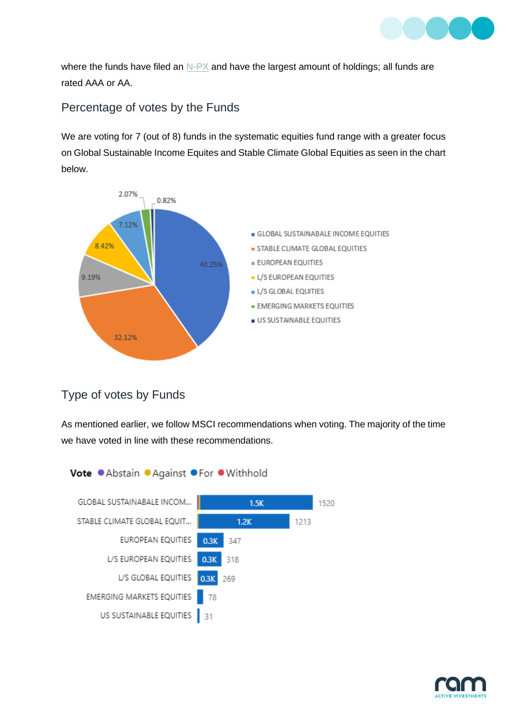

where the funds have filed an  $N-PX$  and have the largest amount of holdings; all funds are rated AAA or AA.

# Percentage of votes by the Funds

We are voting for 7 (out of 8) funds in the systematic equities fund range with a greater focus on Global Sustainable Income Equites and Stable Climate Global Equities as seen in the chart below.



## Type of votes by Funds

As mentioned earlier, we follow MSCI recommendations when voting. The majority of the time we have voted in line with these recommendations.



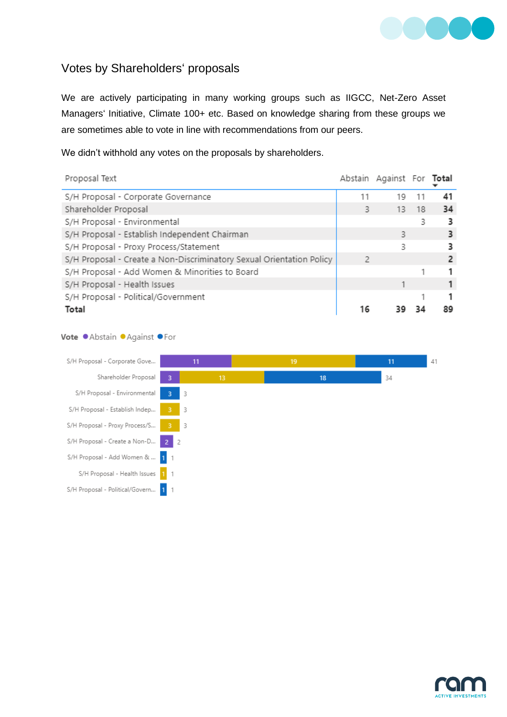

## Votes by Shareholders' proposals

We are actively participating in many working groups such as IIGCC, Net-Zero Asset Managers' Initiative, Climate 100+ etc. Based on knowledge sharing from these groups we are sometimes able to vote in line with recommendations from our peers.

We didn't withhold any votes on the proposals by shareholders.

| Proposal Text                                                        |    | Abstain Against For Total |       |    |
|----------------------------------------------------------------------|----|---------------------------|-------|----|
| S/H Proposal - Corporate Governance                                  | 11 | 19                        |       | 41 |
| Shareholder Proposal                                                 | 3  |                           | 13 18 | 34 |
| S/H Proposal - Environmental                                         |    |                           | 3     | з  |
| S/H Proposal - Establish Independent Chairman                        |    | 3                         |       |    |
| S/H Proposal - Proxy Process/Statement                               |    | 3                         |       |    |
| S/H Proposal - Create a Non-Discriminatory Sexual Orientation Policy | 2  |                           |       |    |
| S/H Proposal - Add Women & Minorities to Board                       |    |                           |       | 1  |
| S/H Proposal - Health Issues                                         |    |                           |       |    |
| S/H Proposal - Political/Government                                  |    |                           |       |    |
| Total                                                                | 16 |                           |       | 89 |

#### Vote . Abstain . Against . For



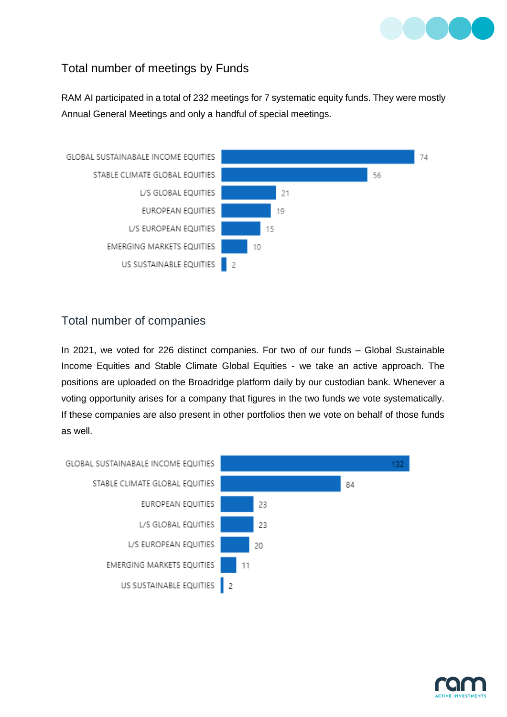

## Total number of meetings by Funds

RAM AI participated in a total of 232 meetings for 7 systematic equity funds. They were mostly Annual General Meetings and only a handful of special meetings.



### Total number of companies

In 2021, we voted for 226 distinct companies. For two of our funds – Global Sustainable Income Equities and Stable Climate Global Equities - we take an active approach. The positions are uploaded on the Broadridge platform daily by our custodian bank. Whenever a voting opportunity arises for a company that figures in the two funds we vote systematically. If these companies are also present in other portfolios then we vote on behalf of those funds as well.



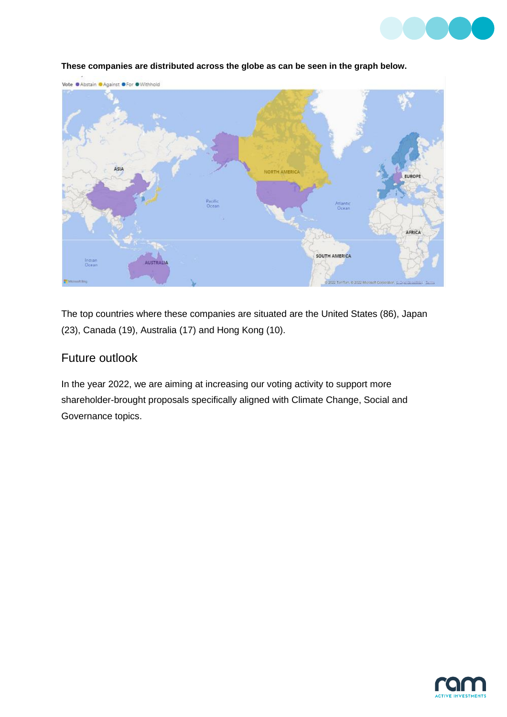



#### **These companies are distributed across the globe as can be seen in the graph below.**

The top countries where these companies are situated are the United States (86), Japan (23), Canada (19), Australia (17) and Hong Kong (10).

## Future outlook

In the year 2022, we are aiming at increasing our voting activity to support more shareholder-brought proposals specifically aligned with Climate Change, Social and Governance topics.